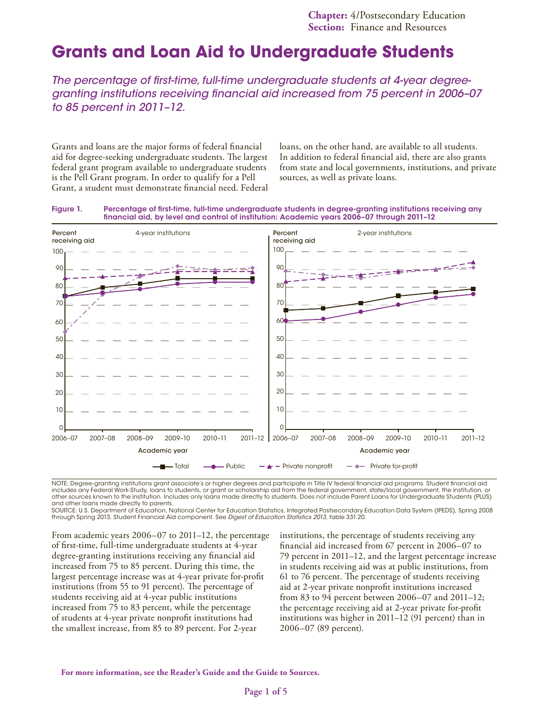# **Grants and Loan Aid to Undergraduate Students**

*The percentage of first-time, full-time undergraduate students at 4-year degreegranting institutions receiving financial aid increased from 75 percent in 2006–07 to 85 percent in 2011–12.*

Grants and loans are the major forms of federal financial aid for degree-seeking undergraduate students. The largest federal grant program available to undergraduate students is the Pell Grant program. In order to qualify for a Pell Grant, a student must demonstrate financial need. Federal loans, on the other hand, are available to all students. In addition to federal financial aid, there are also grants from state and local governments, institutions, and private sources, as well as private loans.





NOTE: Degree-granting institutions grant associate's or higher degrees and participate in Title IV federal financial aid programs. Student financial aid includes any Federal Work-Study, loans to students, or grant or scholarship aid from the federal government, state/local government, the institution, or other sources known to the institution. Includes only loans made directly to students. Does not include Parent Loans for Undergraduate Students (PLUS) and other loans made directly to parents.

SOURCE: U.S. Department of Education, National Center for Education Statistics, Integrated Postsecondary Education Data System (IPEDS), Spring 2008 through Spring 2013, Student Financial Aid component. See *Digest of Education Statistics 2013,* table 331.20.

From academic years 2006–07 to 2011–12, the percentage of first-time, full-time undergraduate students at 4-year degree-granting institutions receiving any financial aid increased from 75 to 85 percent. During this time, the largest percentage increase was at 4-year private for-profit institutions (from 55 to 91 percent). The percentage of students receiving aid at 4-year public institutions increased from 75 to 83 percent, while the percentage of students at 4-year private nonprofit institutions had the smallest increase, from 85 to 89 percent. For 2-year

institutions, the percentage of students receiving any financial aid increased from 67 percent in 2006–07 to 79 percent in 2011–12, and the largest percentage increase in students receiving aid was at public institutions, from 61 to 76 percent. The percentage of students receiving aid at 2-year private nonprofit institutions increased from 83 to 94 percent between 2006–07 and 2011–12; the percentage receiving aid at 2-year private for-profit institutions was higher in 2011–12 (91 percent) than in 2006–07 (89 percent).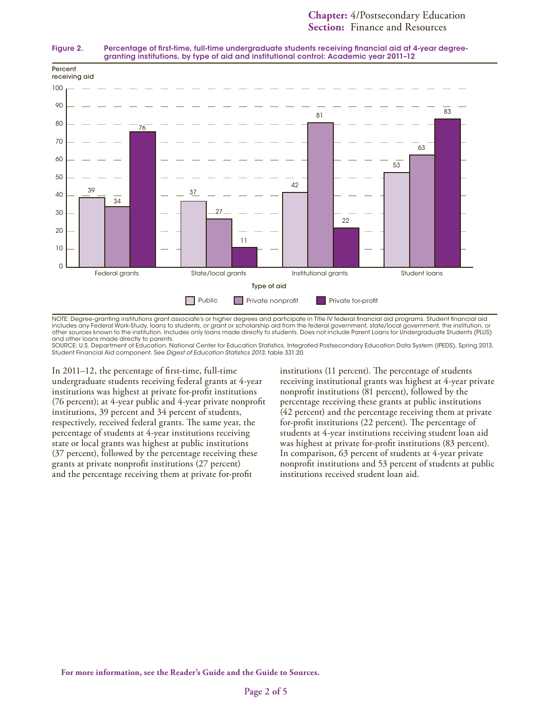



NOTE: Degree-granting institutions grant associate's or higher degrees and participate in Title IV federal financial aid programs. Student financial aid includes any Federal Work-Study, loans to students, or grant or scholarship aid from the federal government, state/local government, the institution, or other sources known to the institution. Includes only loans made directly to students. Does not include Parent Loans for Undergraduate Students (PLUS) and other loans made directly to parents.

SOURCE: U.S. Department of Education, National Center for Education Statistics, Integrated Postsecondary Education Data System (IPEDS), Spring 2013, Student Financial Aid component. See *Digest of Education Statistics 2013,* table 331.20.

In 2011–12, the percentage of first-time, full-time undergraduate students receiving federal grants at 4-year institutions was highest at private for-profit institutions (76 percent); at 4-year public and 4-year private nonprofit institutions, 39 percent and 34 percent of students, respectively, received federal grants. The same year, the percentage of students at 4-year institutions receiving state or local grants was highest at public institutions (37 percent), followed by the percentage receiving these grants at private nonprofit institutions (27 percent) and the percentage receiving them at private for-profit

institutions (11 percent). The percentage of students receiving institutional grants was highest at 4-year private nonprofit institutions (81 percent), followed by the percentage receiving these grants at public institutions (42 percent) and the percentage receiving them at private for-profit institutions (22 percent). The percentage of students at 4-year institutions receiving student loan aid was highest at private for-profit institutions (83 percent). In comparison, 63 percent of students at 4-year private nonprofit institutions and 53 percent of students at public institutions received student loan aid.

**For more information, see the Reader's Guide and the Guide to Sources.**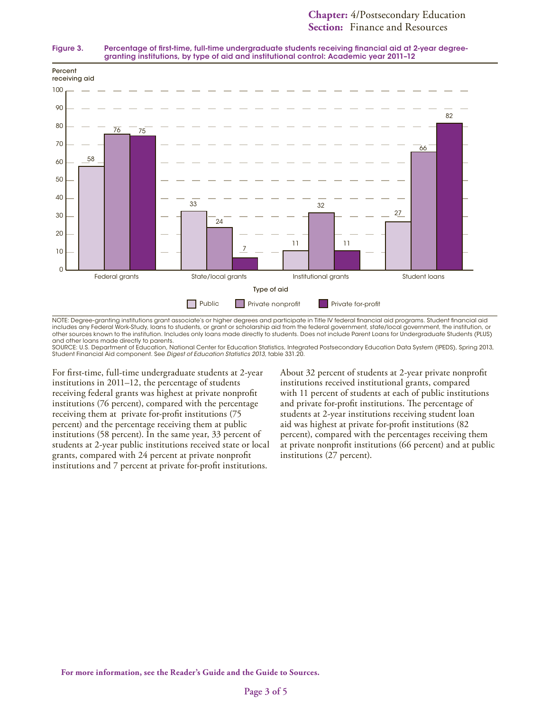



NOTE: Degree-granting institutions grant associate's or higher degrees and participate in Title IV federal financial aid programs. Student financial aid includes any Federal Work-Study, loans to students, or grant or scholarship aid from the federal government, state/local government, the institution, or other sources known to the institution. Includes only loans made directly to students. Does not include Parent Loans for Undergraduate Students (PLUS) and other loans made directly to parents.

SOURCE: U.S. Department of Education, National Center for Education Statistics, Integrated Postsecondary Education Data System (IPEDS), Spring 2013,<br>Student Financial Aid component. See *Digest of Education Statistics 2013* 

For first-time, full-time undergraduate students at 2-year institutions in 2011–12, the percentage of students receiving federal grants was highest at private nonprofit institutions (76 percent), compared with the percentage receiving them at private for-profit institutions (75 percent) and the percentage receiving them at public institutions (58 percent). In the same year, 33 percent of students at 2-year public institutions received state or local grants, compared with 24 percent at private nonprofit institutions and 7 percent at private for-profit institutions.

About 32 percent of students at 2-year private nonprofit institutions received institutional grants, compared with 11 percent of students at each of public institutions and private for-profit institutions. The percentage of students at 2-year institutions receiving student loan aid was highest at private for-profit institutions (82 percent), compared with the percentages receiving them at private nonprofit institutions (66 percent) and at public institutions (27 percent).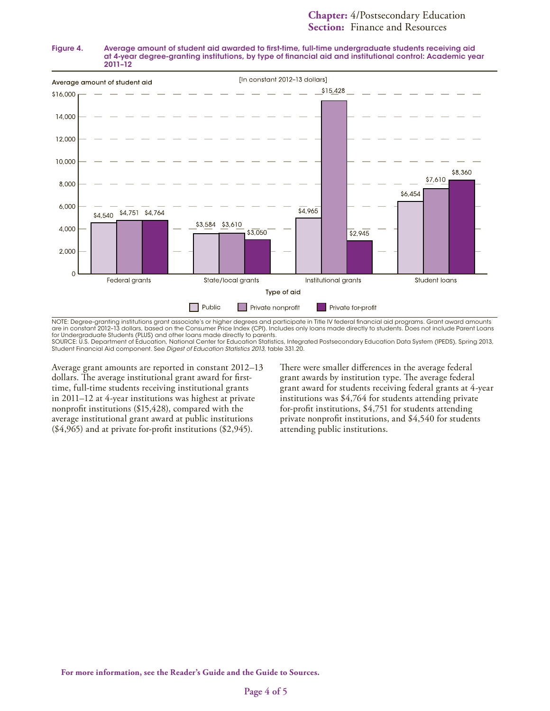#### Figure 4. Average amount of student aid awarded to first-time, full-time undergraduate students receiving aid at 4-year degree-granting institutions, by type of financial aid and institutional control: Academic year 2011–12



NOTE: Degree-granting institutions grant associate's or higher degrees and participate in Title IV federal financial aid programs. Grant award amounts are in constant 2012–13 dollars, based on the Consumer Price Index (CPI). Includes only loans made directly to students. Does not include Parent Loans for Undergraduate Students (PLUS) and other loans made directly to parents.

SOURCE: U.S. Department of Education, National Center for Education Statistics, Integrated Postsecondary Education Data System (IPEDS), Spring 2013, Student Financial Aid component. See *Digest of Education Statistics 2013,* table 331.20.

Average grant amounts are reported in constant 2012–13 dollars. The average institutional grant award for firsttime, full-time students receiving institutional grants in 2011–12 at 4-year institutions was highest at private nonprofit institutions (\$15,428), compared with the average institutional grant award at public institutions (\$4,965) and at private for-profit institutions (\$2,945).

There were smaller differences in the average federal grant awards by institution type. The average federal grant award for students receiving federal grants at 4-year institutions was \$4,764 for students attending private for-profit institutions, \$4,751 for students attending private nonprofit institutions, and \$4,540 for students attending public institutions.